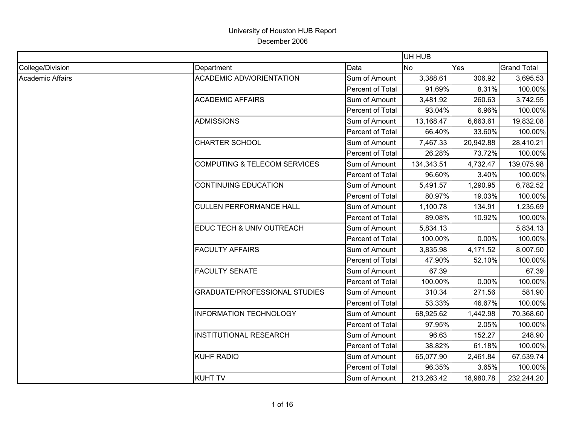|                         |                                         |                  | UH HUB     |           |                    |
|-------------------------|-----------------------------------------|------------------|------------|-----------|--------------------|
| College/Division        | Department                              | Data             | <b>No</b>  | Yes       | <b>Grand Total</b> |
| <b>Academic Affairs</b> | <b>ACADEMIC ADV/ORIENTATION</b>         | Sum of Amount    | 3,388.61   | 306.92    | 3,695.53           |
|                         |                                         | Percent of Total | 91.69%     | 8.31%     | 100.00%            |
|                         | <b>ACADEMIC AFFAIRS</b>                 | Sum of Amount    | 3,481.92   | 260.63    | 3,742.55           |
|                         |                                         | Percent of Total | 93.04%     | 6.96%     | 100.00%            |
|                         | <b>ADMISSIONS</b>                       | Sum of Amount    | 13,168.47  | 6,663.61  | 19,832.08          |
|                         |                                         | Percent of Total | 66.40%     | 33.60%    | 100.00%            |
|                         | <b>CHARTER SCHOOL</b>                   | Sum of Amount    | 7,467.33   | 20,942.88 | 28,410.21          |
|                         |                                         | Percent of Total | 26.28%     | 73.72%    | 100.00%            |
|                         | <b>COMPUTING &amp; TELECOM SERVICES</b> | Sum of Amount    | 134,343.51 | 4,732.47  | 139,075.98         |
|                         |                                         | Percent of Total | 96.60%     | 3.40%     | 100.00%            |
|                         | <b>CONTINUING EDUCATION</b>             | Sum of Amount    | 5,491.57   | 1,290.95  | 6,782.52           |
|                         |                                         | Percent of Total | 80.97%     | 19.03%    | 100.00%            |
|                         | <b>CULLEN PERFORMANCE HALL</b>          | Sum of Amount    | 1,100.78   | 134.91    | 1,235.69           |
|                         |                                         | Percent of Total | 89.08%     | 10.92%    | 100.00%            |
|                         | EDUC TECH & UNIV OUTREACH               | Sum of Amount    | 5,834.13   |           | 5,834.13           |
|                         |                                         | Percent of Total | 100.00%    | 0.00%     | 100.00%            |
|                         | <b>FACULTY AFFAIRS</b>                  | Sum of Amount    | 3,835.98   | 4,171.52  | 8,007.50           |
|                         |                                         | Percent of Total | 47.90%     | 52.10%    | 100.00%            |
|                         | <b>FACULTY SENATE</b>                   | Sum of Amount    | 67.39      |           | 67.39              |
|                         |                                         | Percent of Total | 100.00%    | 0.00%     | 100.00%            |
|                         | <b>GRADUATE/PROFESSIONAL STUDIES</b>    | Sum of Amount    | 310.34     | 271.56    | 581.90             |
|                         |                                         | Percent of Total | 53.33%     | 46.67%    | 100.00%            |
|                         | <b>INFORMATION TECHNOLOGY</b>           | Sum of Amount    | 68,925.62  | 1,442.98  | 70,368.60          |
|                         |                                         | Percent of Total | 97.95%     | 2.05%     | 100.00%            |
|                         | <b>INSTITUTIONAL RESEARCH</b>           | Sum of Amount    | 96.63      | 152.27    | 248.90             |
|                         |                                         | Percent of Total | 38.82%     | 61.18%    | 100.00%            |
|                         | <b>KUHF RADIO</b>                       | Sum of Amount    | 65,077.90  | 2,461.84  | 67,539.74          |
|                         |                                         | Percent of Total | 96.35%     | 3.65%     | 100.00%            |
|                         | <b>KUHT TV</b>                          | Sum of Amount    | 213,263.42 | 18,980.78 | 232,244.20         |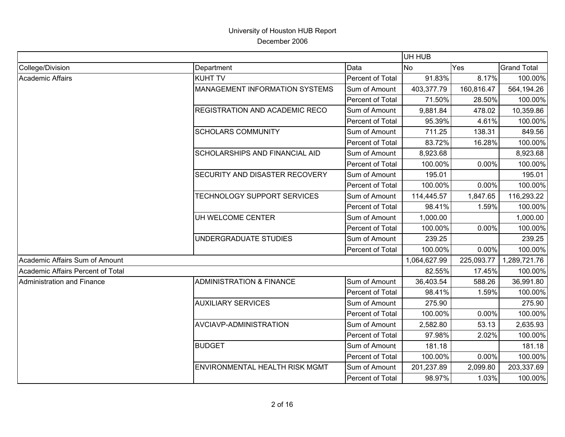|                                   |                                       |                  | UH HUB       |            |                    |
|-----------------------------------|---------------------------------------|------------------|--------------|------------|--------------------|
| College/Division                  | Department                            | Data             | No           | Yes        | <b>Grand Total</b> |
| Academic Affairs                  | <b>KUHT TV</b>                        | Percent of Total | 91.83%       | 8.17%      | 100.00%            |
|                                   | MANAGEMENT INFORMATION SYSTEMS        | Sum of Amount    | 403,377.79   | 160,816.47 | 564,194.26         |
|                                   |                                       | Percent of Total | 71.50%       | 28.50%     | 100.00%            |
|                                   | <b>REGISTRATION AND ACADEMIC RECO</b> | Sum of Amount    | 9,881.84     | 478.02     | 10,359.86          |
|                                   |                                       | Percent of Total | 95.39%       | 4.61%      | 100.00%            |
|                                   | <b>SCHOLARS COMMUNITY</b>             | Sum of Amount    | 711.25       | 138.31     | 849.56             |
|                                   |                                       | Percent of Total | 83.72%       | 16.28%     | 100.00%            |
|                                   | <b>SCHOLARSHIPS AND FINANCIAL AID</b> | Sum of Amount    | 8,923.68     |            | 8,923.68           |
|                                   |                                       | Percent of Total | 100.00%      | 0.00%      | 100.00%            |
|                                   | SECURITY AND DISASTER RECOVERY        | Sum of Amount    | 195.01       |            | 195.01             |
|                                   |                                       | Percent of Total | 100.00%      | 0.00%      | 100.00%            |
|                                   | TECHNOLOGY SUPPORT SERVICES           | Sum of Amount    | 114,445.57   | 1,847.65   | 116,293.22         |
|                                   |                                       | Percent of Total | 98.41%       | 1.59%      | 100.00%            |
|                                   | UH WELCOME CENTER                     | Sum of Amount    | 1,000.00     |            | 1,000.00           |
|                                   |                                       | Percent of Total | 100.00%      | 0.00%      | 100.00%            |
|                                   | UNDERGRADUATE STUDIES                 | Sum of Amount    | 239.25       |            | 239.25             |
|                                   |                                       | Percent of Total | 100.00%      | 0.00%      | 100.00%            |
| Academic Affairs Sum of Amount    |                                       |                  | 1,064,627.99 | 225,093.77 | 1,289,721.76       |
| Academic Affairs Percent of Total |                                       |                  | 82.55%       | 17.45%     | 100.00%            |
| Administration and Finance        | <b>ADMINISTRATION &amp; FINANCE</b>   | Sum of Amount    | 36,403.54    | 588.26     | 36,991.80          |
|                                   |                                       | Percent of Total | 98.41%       | 1.59%      | 100.00%            |
|                                   | <b>AUXILIARY SERVICES</b>             | Sum of Amount    | 275.90       |            | 275.90             |
|                                   |                                       | Percent of Total | 100.00%      | 0.00%      | 100.00%            |
|                                   | AVCIAVP-ADMINISTRATION                | Sum of Amount    | 2,582.80     | 53.13      | 2,635.93           |
|                                   |                                       | Percent of Total | 97.98%       | 2.02%      | 100.00%            |
|                                   | <b>BUDGET</b>                         | Sum of Amount    | 181.18       |            | 181.18             |
|                                   |                                       | Percent of Total | 100.00%      | 0.00%      | 100.00%            |
|                                   | <b>ENVIRONMENTAL HEALTH RISK MGMT</b> | Sum of Amount    | 201,237.89   | 2,099.80   | 203,337.69         |
|                                   |                                       | Percent of Total | 98.97%       | 1.03%      | 100.00%            |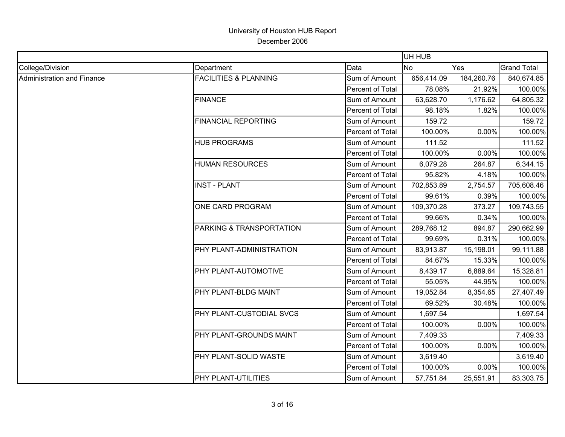|                            |                                  |                  | UH HUB     |            |                    |
|----------------------------|----------------------------------|------------------|------------|------------|--------------------|
| College/Division           | Department                       | Data             | <b>No</b>  | Yes        | <b>Grand Total</b> |
| Administration and Finance | <b>FACILITIES &amp; PLANNING</b> | Sum of Amount    | 656,414.09 | 184,260.76 | 840,674.85         |
|                            |                                  | Percent of Total | 78.08%     | 21.92%     | 100.00%            |
|                            | <b>FINANCE</b>                   | Sum of Amount    | 63,628.70  | 1,176.62   | 64,805.32          |
|                            |                                  | Percent of Total | 98.18%     | 1.82%      | 100.00%            |
|                            | <b>FINANCIAL REPORTING</b>       | Sum of Amount    | 159.72     |            | 159.72             |
|                            |                                  | Percent of Total | 100.00%    | 0.00%      | 100.00%            |
|                            | <b>HUB PROGRAMS</b>              | Sum of Amount    | 111.52     |            | 111.52             |
|                            |                                  | Percent of Total | 100.00%    | 0.00%      | 100.00%            |
|                            | <b>HUMAN RESOURCES</b>           | Sum of Amount    | 6,079.28   | 264.87     | 6,344.15           |
|                            |                                  | Percent of Total | 95.82%     | 4.18%      | 100.00%            |
|                            | <b>INST - PLANT</b>              | Sum of Amount    | 702,853.89 | 2,754.57   | 705,608.46         |
|                            |                                  | Percent of Total | 99.61%     | 0.39%      | 100.00%            |
|                            | <b>ONE CARD PROGRAM</b>          | Sum of Amount    | 109,370.28 | 373.27     | 109,743.55         |
|                            |                                  | Percent of Total | 99.66%     | 0.34%      | 100.00%            |
|                            | PARKING & TRANSPORTATION         | Sum of Amount    | 289,768.12 | 894.87     | 290,662.99         |
|                            |                                  | Percent of Total | 99.69%     | 0.31%      | 100.00%            |
|                            | PHY PLANT-ADMINISTRATION         | Sum of Amount    | 83,913.87  | 15,198.01  | 99,111.88          |
|                            |                                  | Percent of Total | 84.67%     | 15.33%     | 100.00%            |
|                            | PHY PLANT-AUTOMOTIVE             | Sum of Amount    | 8,439.17   | 6,889.64   | 15,328.81          |
|                            |                                  | Percent of Total | 55.05%     | 44.95%     | 100.00%            |
|                            | PHY PLANT-BLDG MAINT             | Sum of Amount    | 19,052.84  | 8,354.65   | 27,407.49          |
|                            |                                  | Percent of Total | 69.52%     | 30.48%     | 100.00%            |
|                            | PHY PLANT-CUSTODIAL SVCS         | Sum of Amount    | 1,697.54   |            | 1,697.54           |
|                            |                                  | Percent of Total | 100.00%    | 0.00%      | 100.00%            |
|                            | PHY PLANT-GROUNDS MAINT          | Sum of Amount    | 7,409.33   |            | 7,409.33           |
|                            |                                  | Percent of Total | 100.00%    | 0.00%      | 100.00%            |
|                            | PHY PLANT-SOLID WASTE            | Sum of Amount    | 3,619.40   |            | 3,619.40           |
|                            |                                  | Percent of Total | 100.00%    | 0.00%      | 100.00%            |
|                            | PHY PLANT-UTILITIES              | Sum of Amount    | 57,751.84  | 25,551.91  | 83,303.75          |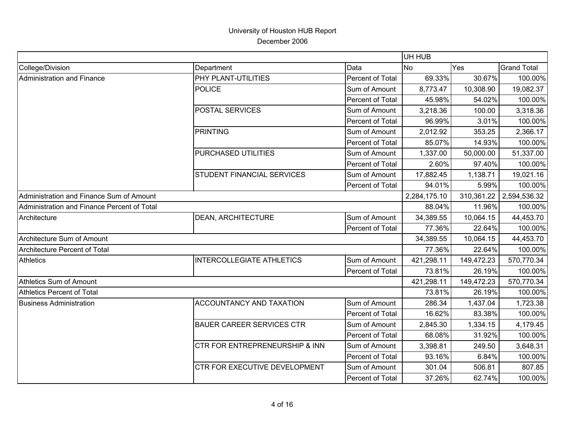|                                             |                                           |                  | UH HUB       |            |                    |
|---------------------------------------------|-------------------------------------------|------------------|--------------|------------|--------------------|
| College/Division                            | Department                                | Data             | <b>No</b>    | Yes        | <b>Grand Total</b> |
| Administration and Finance                  | PHY PLANT-UTILITIES                       | Percent of Total | 69.33%       | 30.67%     | 100.00%            |
|                                             | POLICE                                    | Sum of Amount    | 8,773.47     | 10,308.90  | 19,082.37          |
|                                             |                                           | Percent of Total | 45.98%       | 54.02%     | 100.00%            |
|                                             | POSTAL SERVICES                           | Sum of Amount    | 3,218.36     | 100.00     | 3,318.36           |
|                                             |                                           | Percent of Total | 96.99%       | 3.01%      | 100.00%            |
|                                             | <b>PRINTING</b>                           | Sum of Amount    | 2,012.92     | 353.25     | 2,366.17           |
|                                             |                                           | Percent of Total | 85.07%       | 14.93%     | 100.00%            |
|                                             | PURCHASED UTILITIES                       | Sum of Amount    | 1,337.00     | 50,000.00  | 51,337.00          |
|                                             |                                           | Percent of Total | 2.60%        | 97.40%     | 100.00%            |
|                                             | <b>STUDENT FINANCIAL SERVICES</b>         | Sum of Amount    | 17,882.45    | 1,138.71   | 19,021.16          |
|                                             |                                           | Percent of Total | 94.01%       | 5.99%      | 100.00%            |
| Administration and Finance Sum of Amount    |                                           |                  | 2,284,175.10 | 310,361.22 | 2,594,536.32       |
| Administration and Finance Percent of Total |                                           |                  | 88.04%       | 11.96%     | 100.00%            |
| Architecture                                | <b>DEAN, ARCHITECTURE</b>                 | Sum of Amount    | 34,389.55    | 10,064.15  | 44,453.70          |
|                                             |                                           | Percent of Total | 77.36%       | 22.64%     | 100.00%            |
| Architecture Sum of Amount                  |                                           |                  | 34,389.55    | 10,064.15  | 44,453.70          |
| Architecture Percent of Total               |                                           |                  | 77.36%       | 22.64%     | 100.00%            |
| <b>Athletics</b>                            | <b>INTERCOLLEGIATE ATHLETICS</b>          | Sum of Amount    | 421,298.11   | 149,472.23 | 570,770.34         |
|                                             |                                           | Percent of Total | 73.81%       | 26.19%     | 100.00%            |
| Athletics Sum of Amount                     |                                           |                  | 421,298.11   | 149,472.23 | 570,770.34         |
| Athletics Percent of Total                  |                                           |                  | 73.81%       | 26.19%     | 100.00%            |
| <b>Business Administration</b>              | <b>ACCOUNTANCY AND TAXATION</b>           | Sum of Amount    | 286.34       | 1,437.04   | 1,723.38           |
|                                             |                                           | Percent of Total | 16.62%       | 83.38%     | 100.00%            |
|                                             | <b>BAUER CAREER SERVICES CTR</b>          | Sum of Amount    | 2,845.30     | 1,334.15   | 4,179.45           |
|                                             |                                           | Percent of Total | 68.08%       | 31.92%     | 100.00%            |
|                                             | <b>CTR FOR ENTREPRENEURSHIP &amp; INN</b> | Sum of Amount    | 3,398.81     | 249.50     | 3,648.31           |
|                                             |                                           | Percent of Total | 93.16%       | 6.84%      | 100.00%            |
|                                             | CTR FOR EXECUTIVE DEVELOPMENT             | Sum of Amount    | 301.04       | 506.81     | 807.85             |
|                                             |                                           | Percent of Total | 37.26%       | 62.74%     | 100.00%            |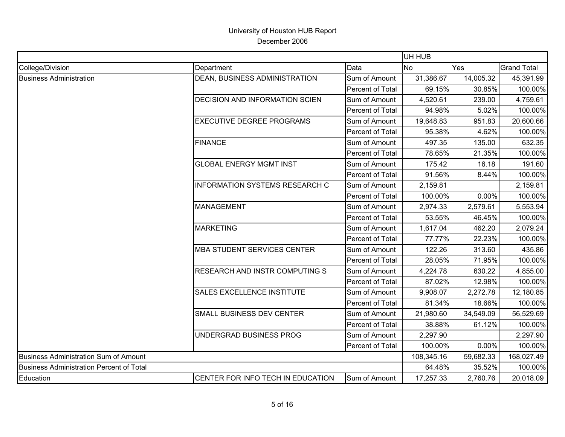|                                                 |                                       |                  | UH HUB         |           |                    |
|-------------------------------------------------|---------------------------------------|------------------|----------------|-----------|--------------------|
| College/Division                                | Department                            | Data             | N <sub>o</sub> | Yes       | <b>Grand Total</b> |
| <b>Business Administration</b>                  | DEAN, BUSINESS ADMINISTRATION         | Sum of Amount    | 31,386.67      | 14,005.32 | 45,391.99          |
|                                                 |                                       | Percent of Total | 69.15%         | 30.85%    | 100.00%            |
|                                                 | DECISION AND INFORMATION SCIEN        | Sum of Amount    | 4,520.61       | 239.00    | 4,759.61           |
|                                                 |                                       | Percent of Total | 94.98%         | 5.02%     | 100.00%            |
|                                                 | <b>EXECUTIVE DEGREE PROGRAMS</b>      | Sum of Amount    | 19,648.83      | 951.83    | 20,600.66          |
|                                                 |                                       | Percent of Total | 95.38%         | 4.62%     | 100.00%            |
|                                                 | <b>FINANCE</b>                        | Sum of Amount    | 497.35         | 135.00    | 632.35             |
|                                                 |                                       | Percent of Total | 78.65%         | 21.35%    | 100.00%            |
|                                                 | <b>GLOBAL ENERGY MGMT INST</b>        | Sum of Amount    | 175.42         | 16.18     | 191.60             |
|                                                 |                                       | Percent of Total | 91.56%         | 8.44%     | 100.00%            |
|                                                 | <b>INFORMATION SYSTEMS RESEARCH C</b> | Sum of Amount    | 2,159.81       |           | 2,159.81           |
|                                                 |                                       | Percent of Total | 100.00%        | 0.00%     | 100.00%            |
|                                                 | <b>MANAGEMENT</b>                     | Sum of Amount    | 2,974.33       | 2,579.61  | 5,553.94           |
|                                                 |                                       | Percent of Total | 53.55%         | 46.45%    | 100.00%            |
|                                                 | <b>MARKETING</b>                      | Sum of Amount    | 1,617.04       | 462.20    | 2,079.24           |
|                                                 |                                       | Percent of Total | 77.77%         | 22.23%    | 100.00%            |
|                                                 | <b>MBA STUDENT SERVICES CENTER</b>    | Sum of Amount    | 122.26         | 313.60    | 435.86             |
|                                                 |                                       | Percent of Total | 28.05%         | 71.95%    | 100.00%            |
|                                                 | <b>RESEARCH AND INSTR COMPUTING S</b> | Sum of Amount    | 4,224.78       | 630.22    | 4,855.00           |
|                                                 |                                       | Percent of Total | 87.02%         | 12.98%    | 100.00%            |
|                                                 | SALES EXCELLENCE INSTITUTE            | Sum of Amount    | 9,908.07       | 2,272.78  | 12,180.85          |
|                                                 |                                       | Percent of Total | 81.34%         | 18.66%    | 100.00%            |
|                                                 | SMALL BUSINESS DEV CENTER             | Sum of Amount    | 21,980.60      | 34,549.09 | 56,529.69          |
|                                                 |                                       | Percent of Total | 38.88%         | 61.12%    | 100.00%            |
|                                                 | UNDERGRAD BUSINESS PROG               | Sum of Amount    | 2,297.90       |           | 2,297.90           |
|                                                 |                                       | Percent of Total | 100.00%        | 0.00%     | 100.00%            |
| <b>Business Administration Sum of Amount</b>    |                                       |                  | 108,345.16     | 59,682.33 | 168,027.49         |
| <b>Business Administration Percent of Total</b> |                                       |                  | 64.48%         | 35.52%    | 100.00%            |
| Education                                       | CENTER FOR INFO TECH IN EDUCATION     | Sum of Amount    | 17,257.33      | 2,760.76  | 20,018.09          |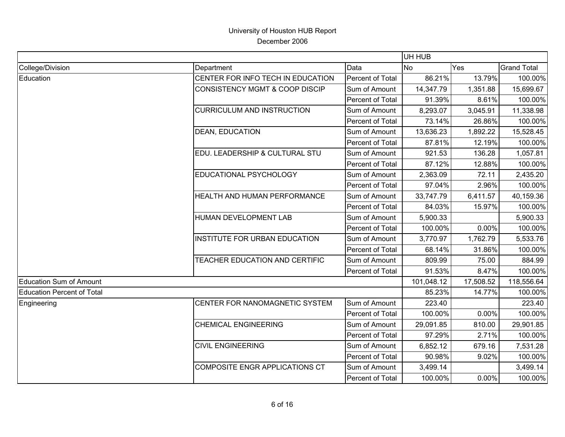|                                   |                                           |                  | UH HUB     |           |                    |
|-----------------------------------|-------------------------------------------|------------------|------------|-----------|--------------------|
| College/Division                  | Department                                | Data             | <b>No</b>  | Yes       | <b>Grand Total</b> |
| Education                         | CENTER FOR INFO TECH IN EDUCATION         | Percent of Total | 86.21%     | 13.79%    | 100.00%            |
|                                   | <b>CONSISTENCY MGMT &amp; COOP DISCIP</b> | Sum of Amount    | 14,347.79  | 1,351.88  | 15,699.67          |
|                                   |                                           | Percent of Total | 91.39%     | 8.61%     | 100.00%            |
|                                   | <b>CURRICULUM AND INSTRUCTION</b>         | Sum of Amount    | 8,293.07   | 3,045.91  | 11,338.98          |
|                                   |                                           | Percent of Total | 73.14%     | 26.86%    | 100.00%            |
|                                   | DEAN, EDUCATION                           | Sum of Amount    | 13,636.23  | 1,892.22  | 15,528.45          |
|                                   |                                           | Percent of Total | 87.81%     | 12.19%    | 100.00%            |
|                                   | EDU. LEADERSHIP & CULTURAL STU            | Sum of Amount    | 921.53     | 136.28    | 1,057.81           |
|                                   |                                           | Percent of Total | 87.12%     | 12.88%    | 100.00%            |
|                                   | EDUCATIONAL PSYCHOLOGY                    | Sum of Amount    | 2,363.09   | 72.11     | 2,435.20           |
|                                   |                                           | Percent of Total | 97.04%     | 2.96%     | 100.00%            |
|                                   | HEALTH AND HUMAN PERFORMANCE              | Sum of Amount    | 33,747.79  | 6,411.57  | 40,159.36          |
|                                   |                                           | Percent of Total | 84.03%     | 15.97%    | 100.00%            |
|                                   | HUMAN DEVELOPMENT LAB                     | Sum of Amount    | 5,900.33   |           | 5,900.33           |
|                                   |                                           | Percent of Total | 100.00%    | 0.00%     | 100.00%            |
|                                   | <b>INSTITUTE FOR URBAN EDUCATION</b>      | Sum of Amount    | 3,770.97   | 1,762.79  | 5,533.76           |
|                                   |                                           | Percent of Total | 68.14%     | 31.86%    | 100.00%            |
|                                   | TEACHER EDUCATION AND CERTIFIC            | Sum of Amount    | 809.99     | 75.00     | 884.99             |
|                                   |                                           | Percent of Total | 91.53%     | 8.47%     | 100.00%            |
| <b>Education Sum of Amount</b>    |                                           |                  | 101,048.12 | 17,508.52 | 118,556.64         |
| <b>Education Percent of Total</b> |                                           |                  | 85.23%     | 14.77%    | 100.00%            |
| Engineering                       | CENTER FOR NANOMAGNETIC SYSTEM            | Sum of Amount    | 223.40     |           | 223.40             |
|                                   |                                           | Percent of Total | 100.00%    | 0.00%     | 100.00%            |
|                                   | <b>CHEMICAL ENGINEERING</b>               | Sum of Amount    | 29,091.85  | 810.00    | 29,901.85          |
|                                   |                                           | Percent of Total | 97.29%     | 2.71%     | 100.00%            |
|                                   | <b>CIVIL ENGINEERING</b>                  | Sum of Amount    | 6,852.12   | 679.16    | 7,531.28           |
|                                   |                                           | Percent of Total | 90.98%     | 9.02%     | 100.00%            |
|                                   | COMPOSITE ENGR APPLICATIONS CT            | Sum of Amount    | 3,499.14   |           | 3,499.14           |
|                                   |                                           | Percent of Total | 100.00%    | 0.00%     | 100.00%            |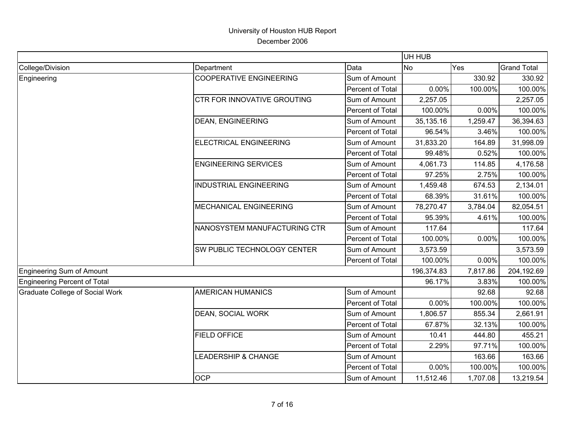| Data<br>Yes<br><b>Grand Total</b><br>Department<br><b>No</b><br><b>COOPERATIVE ENGINEERING</b><br>Sum of Amount<br>330.92<br>330.92<br>Percent of Total<br>0.00%<br>100.00%<br><b>CTR FOR INNOVATIVE GROUTING</b><br>Sum of Amount<br>2,257.05<br>Percent of Total<br>100.00%<br>0.00%<br><b>DEAN, ENGINEERING</b><br>Sum of Amount<br>35,135.16<br>1,259.47<br>Percent of Total<br>96.54%<br>3.46%<br><b>ELECTRICAL ENGINEERING</b><br>Sum of Amount<br>31,998.09<br>31,833.20<br>164.89<br>0.52%<br>Percent of Total<br>99.48%<br><b>ENGINEERING SERVICES</b><br>Sum of Amount<br>114.85<br>4,061.73<br>Percent of Total<br>97.25%<br>2.75%<br><b>INDUSTRIAL ENGINEERING</b><br>Sum of Amount<br>1,459.48<br>674.53<br>2,134.01<br>Percent of Total<br>68.39%<br>31.61%<br><b>MECHANICAL ENGINEERING</b><br>78,270.47<br>Sum of Amount<br>3,784.04<br>82,054.51<br>Percent of Total<br>95.39%<br>4.61%<br>NANOSYSTEM MANUFACTURING CTR<br>Sum of Amount<br>117.64<br>117.64<br>100.00%<br>0.00%<br>Percent of Total<br>Sum of Amount<br>SW PUBLIC TECHNOLOGY CENTER<br>3,573.59<br>3,573.59<br>100.00%<br>0.00%<br>Percent of Total<br>196,374.83<br>7,817.86<br>96.17%<br>3.83%<br><b>AMERICAN HUMANICS</b><br>Sum of Amount<br>92.68<br>Percent of Total<br>100.00%<br>0.00%<br><b>DEAN, SOCIAL WORK</b><br>2,661.91<br>Sum of Amount<br>855.34<br>1,806.57<br>32.13%<br>Percent of Total<br>67.87%<br><b>FIELD OFFICE</b><br>455.21<br>Sum of Amount<br>444.80<br>10.41<br>Percent of Total<br>97.71%<br>2.29%<br>Sum of Amount<br>163.66<br><b>LEADERSHIP &amp; CHANGE</b><br>163.66<br>0.00%<br>100.00%<br>Percent of Total<br><b>OCP</b><br>Sum of Amount<br>11,512.46<br>1,707.08 |                                        |  | UH HUB |            |
|--------------------------------------------------------------------------------------------------------------------------------------------------------------------------------------------------------------------------------------------------------------------------------------------------------------------------------------------------------------------------------------------------------------------------------------------------------------------------------------------------------------------------------------------------------------------------------------------------------------------------------------------------------------------------------------------------------------------------------------------------------------------------------------------------------------------------------------------------------------------------------------------------------------------------------------------------------------------------------------------------------------------------------------------------------------------------------------------------------------------------------------------------------------------------------------------------------------------------------------------------------------------------------------------------------------------------------------------------------------------------------------------------------------------------------------------------------------------------------------------------------------------------------------------------------------------------------------------------------------------------------------------------------------------------------------------|----------------------------------------|--|--------|------------|
|                                                                                                                                                                                                                                                                                                                                                                                                                                                                                                                                                                                                                                                                                                                                                                                                                                                                                                                                                                                                                                                                                                                                                                                                                                                                                                                                                                                                                                                                                                                                                                                                                                                                                            | College/Division                       |  |        |            |
|                                                                                                                                                                                                                                                                                                                                                                                                                                                                                                                                                                                                                                                                                                                                                                                                                                                                                                                                                                                                                                                                                                                                                                                                                                                                                                                                                                                                                                                                                                                                                                                                                                                                                            | Engineering                            |  |        |            |
|                                                                                                                                                                                                                                                                                                                                                                                                                                                                                                                                                                                                                                                                                                                                                                                                                                                                                                                                                                                                                                                                                                                                                                                                                                                                                                                                                                                                                                                                                                                                                                                                                                                                                            |                                        |  |        | 100.00%    |
|                                                                                                                                                                                                                                                                                                                                                                                                                                                                                                                                                                                                                                                                                                                                                                                                                                                                                                                                                                                                                                                                                                                                                                                                                                                                                                                                                                                                                                                                                                                                                                                                                                                                                            |                                        |  |        | 2,257.05   |
|                                                                                                                                                                                                                                                                                                                                                                                                                                                                                                                                                                                                                                                                                                                                                                                                                                                                                                                                                                                                                                                                                                                                                                                                                                                                                                                                                                                                                                                                                                                                                                                                                                                                                            |                                        |  |        | 100.00%    |
|                                                                                                                                                                                                                                                                                                                                                                                                                                                                                                                                                                                                                                                                                                                                                                                                                                                                                                                                                                                                                                                                                                                                                                                                                                                                                                                                                                                                                                                                                                                                                                                                                                                                                            |                                        |  |        | 36,394.63  |
|                                                                                                                                                                                                                                                                                                                                                                                                                                                                                                                                                                                                                                                                                                                                                                                                                                                                                                                                                                                                                                                                                                                                                                                                                                                                                                                                                                                                                                                                                                                                                                                                                                                                                            |                                        |  |        | 100.00%    |
|                                                                                                                                                                                                                                                                                                                                                                                                                                                                                                                                                                                                                                                                                                                                                                                                                                                                                                                                                                                                                                                                                                                                                                                                                                                                                                                                                                                                                                                                                                                                                                                                                                                                                            |                                        |  |        |            |
|                                                                                                                                                                                                                                                                                                                                                                                                                                                                                                                                                                                                                                                                                                                                                                                                                                                                                                                                                                                                                                                                                                                                                                                                                                                                                                                                                                                                                                                                                                                                                                                                                                                                                            |                                        |  |        | 100.00%    |
|                                                                                                                                                                                                                                                                                                                                                                                                                                                                                                                                                                                                                                                                                                                                                                                                                                                                                                                                                                                                                                                                                                                                                                                                                                                                                                                                                                                                                                                                                                                                                                                                                                                                                            |                                        |  |        | 4,176.58   |
|                                                                                                                                                                                                                                                                                                                                                                                                                                                                                                                                                                                                                                                                                                                                                                                                                                                                                                                                                                                                                                                                                                                                                                                                                                                                                                                                                                                                                                                                                                                                                                                                                                                                                            |                                        |  |        | 100.00%    |
|                                                                                                                                                                                                                                                                                                                                                                                                                                                                                                                                                                                                                                                                                                                                                                                                                                                                                                                                                                                                                                                                                                                                                                                                                                                                                                                                                                                                                                                                                                                                                                                                                                                                                            |                                        |  |        |            |
|                                                                                                                                                                                                                                                                                                                                                                                                                                                                                                                                                                                                                                                                                                                                                                                                                                                                                                                                                                                                                                                                                                                                                                                                                                                                                                                                                                                                                                                                                                                                                                                                                                                                                            |                                        |  |        | 100.00%    |
|                                                                                                                                                                                                                                                                                                                                                                                                                                                                                                                                                                                                                                                                                                                                                                                                                                                                                                                                                                                                                                                                                                                                                                                                                                                                                                                                                                                                                                                                                                                                                                                                                                                                                            |                                        |  |        |            |
|                                                                                                                                                                                                                                                                                                                                                                                                                                                                                                                                                                                                                                                                                                                                                                                                                                                                                                                                                                                                                                                                                                                                                                                                                                                                                                                                                                                                                                                                                                                                                                                                                                                                                            |                                        |  |        | 100.00%    |
|                                                                                                                                                                                                                                                                                                                                                                                                                                                                                                                                                                                                                                                                                                                                                                                                                                                                                                                                                                                                                                                                                                                                                                                                                                                                                                                                                                                                                                                                                                                                                                                                                                                                                            |                                        |  |        |            |
|                                                                                                                                                                                                                                                                                                                                                                                                                                                                                                                                                                                                                                                                                                                                                                                                                                                                                                                                                                                                                                                                                                                                                                                                                                                                                                                                                                                                                                                                                                                                                                                                                                                                                            |                                        |  |        | 100.00%    |
|                                                                                                                                                                                                                                                                                                                                                                                                                                                                                                                                                                                                                                                                                                                                                                                                                                                                                                                                                                                                                                                                                                                                                                                                                                                                                                                                                                                                                                                                                                                                                                                                                                                                                            |                                        |  |        |            |
|                                                                                                                                                                                                                                                                                                                                                                                                                                                                                                                                                                                                                                                                                                                                                                                                                                                                                                                                                                                                                                                                                                                                                                                                                                                                                                                                                                                                                                                                                                                                                                                                                                                                                            |                                        |  |        | 100.00%    |
|                                                                                                                                                                                                                                                                                                                                                                                                                                                                                                                                                                                                                                                                                                                                                                                                                                                                                                                                                                                                                                                                                                                                                                                                                                                                                                                                                                                                                                                                                                                                                                                                                                                                                            | Engineering Sum of Amount              |  |        | 204,192.69 |
|                                                                                                                                                                                                                                                                                                                                                                                                                                                                                                                                                                                                                                                                                                                                                                                                                                                                                                                                                                                                                                                                                                                                                                                                                                                                                                                                                                                                                                                                                                                                                                                                                                                                                            | Engineering Percent of Total           |  |        | 100.00%    |
|                                                                                                                                                                                                                                                                                                                                                                                                                                                                                                                                                                                                                                                                                                                                                                                                                                                                                                                                                                                                                                                                                                                                                                                                                                                                                                                                                                                                                                                                                                                                                                                                                                                                                            | <b>Graduate College of Social Work</b> |  |        | 92.68      |
|                                                                                                                                                                                                                                                                                                                                                                                                                                                                                                                                                                                                                                                                                                                                                                                                                                                                                                                                                                                                                                                                                                                                                                                                                                                                                                                                                                                                                                                                                                                                                                                                                                                                                            |                                        |  |        | 100.00%    |
|                                                                                                                                                                                                                                                                                                                                                                                                                                                                                                                                                                                                                                                                                                                                                                                                                                                                                                                                                                                                                                                                                                                                                                                                                                                                                                                                                                                                                                                                                                                                                                                                                                                                                            |                                        |  |        |            |
|                                                                                                                                                                                                                                                                                                                                                                                                                                                                                                                                                                                                                                                                                                                                                                                                                                                                                                                                                                                                                                                                                                                                                                                                                                                                                                                                                                                                                                                                                                                                                                                                                                                                                            |                                        |  |        | 100.00%    |
|                                                                                                                                                                                                                                                                                                                                                                                                                                                                                                                                                                                                                                                                                                                                                                                                                                                                                                                                                                                                                                                                                                                                                                                                                                                                                                                                                                                                                                                                                                                                                                                                                                                                                            |                                        |  |        |            |
|                                                                                                                                                                                                                                                                                                                                                                                                                                                                                                                                                                                                                                                                                                                                                                                                                                                                                                                                                                                                                                                                                                                                                                                                                                                                                                                                                                                                                                                                                                                                                                                                                                                                                            |                                        |  |        | 100.00%    |
|                                                                                                                                                                                                                                                                                                                                                                                                                                                                                                                                                                                                                                                                                                                                                                                                                                                                                                                                                                                                                                                                                                                                                                                                                                                                                                                                                                                                                                                                                                                                                                                                                                                                                            |                                        |  |        |            |
|                                                                                                                                                                                                                                                                                                                                                                                                                                                                                                                                                                                                                                                                                                                                                                                                                                                                                                                                                                                                                                                                                                                                                                                                                                                                                                                                                                                                                                                                                                                                                                                                                                                                                            |                                        |  |        | 100.00%    |
|                                                                                                                                                                                                                                                                                                                                                                                                                                                                                                                                                                                                                                                                                                                                                                                                                                                                                                                                                                                                                                                                                                                                                                                                                                                                                                                                                                                                                                                                                                                                                                                                                                                                                            |                                        |  |        | 13,219.54  |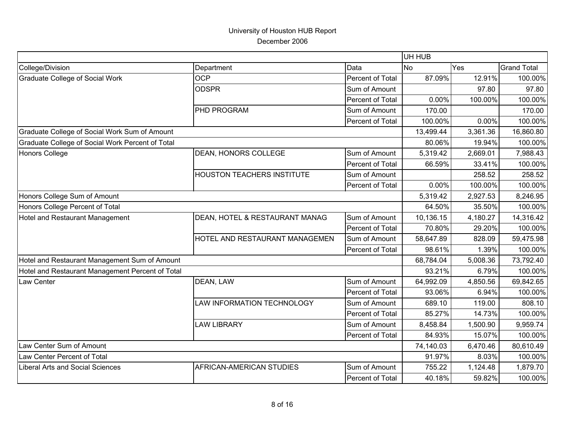|                                                  |                                   |                  | UH HUB    |          |                    |
|--------------------------------------------------|-----------------------------------|------------------|-----------|----------|--------------------|
| College/Division                                 | Department                        | Data             | <b>No</b> | Yes      | <b>Grand Total</b> |
| <b>Graduate College of Social Work</b>           | <b>OCP</b>                        | Percent of Total | 87.09%    | 12.91%   | 100.00%            |
|                                                  | <b>ODSPR</b>                      | Sum of Amount    |           | 97.80    | 97.80              |
|                                                  |                                   | Percent of Total | 0.00%     | 100.00%  | 100.00%            |
|                                                  | PHD PROGRAM                       | Sum of Amount    | 170.00    |          | 170.00             |
|                                                  |                                   | Percent of Total | 100.00%   | 0.00%    | 100.00%            |
| Graduate College of Social Work Sum of Amount    |                                   |                  | 13,499.44 | 3,361.36 | 16,860.80          |
| Graduate College of Social Work Percent of Total |                                   |                  | 80.06%    | 19.94%   | 100.00%            |
| <b>Honors College</b>                            | DEAN, HONORS COLLEGE              | Sum of Amount    | 5,319.42  | 2,669.01 | 7,988.43           |
|                                                  |                                   | Percent of Total | 66.59%    | 33.41%   | 100.00%            |
|                                                  | <b>HOUSTON TEACHERS INSTITUTE</b> | Sum of Amount    |           | 258.52   | 258.52             |
|                                                  |                                   | Percent of Total | 0.00%     | 100.00%  | 100.00%            |
| Honors College Sum of Amount                     |                                   |                  | 5,319.42  | 2,927.53 | 8,246.95           |
| Honors College Percent of Total                  |                                   |                  | 64.50%    | 35.50%   | 100.00%            |
| Hotel and Restaurant Management                  | DEAN, HOTEL & RESTAURANT MANAG    | Sum of Amount    | 10,136.15 | 4,180.27 | 14,316.42          |
|                                                  |                                   | Percent of Total | 70.80%    | 29.20%   | 100.00%            |
|                                                  | HOTEL AND RESTAURANT MANAGEMEN    | Sum of Amount    | 58,647.89 | 828.09   | 59,475.98          |
|                                                  |                                   | Percent of Total | 98.61%    | 1.39%    | 100.00%            |
| Hotel and Restaurant Management Sum of Amount    |                                   |                  | 68,784.04 | 5,008.36 | 73,792.40          |
| Hotel and Restaurant Management Percent of Total |                                   |                  | 93.21%    | 6.79%    | 100.00%            |
| Law Center                                       | DEAN, LAW                         | Sum of Amount    | 64,992.09 | 4,850.56 | 69,842.65          |
|                                                  |                                   | Percent of Total | 93.06%    | 6.94%    | 100.00%            |
|                                                  | LAW INFORMATION TECHNOLOGY        | Sum of Amount    | 689.10    | 119.00   | 808.10             |
|                                                  |                                   | Percent of Total | 85.27%    | 14.73%   | 100.00%            |
|                                                  | <b>LAW LIBRARY</b>                | Sum of Amount    | 8,458.84  | 1,500.90 | 9,959.74           |
|                                                  |                                   | Percent of Total | 84.93%    | 15.07%   | 100.00%            |
| Law Center Sum of Amount                         |                                   |                  | 74,140.03 | 6,470.46 | 80,610.49          |
| Law Center Percent of Total                      |                                   |                  | 91.97%    | 8.03%    | 100.00%            |
| Liberal Arts and Social Sciences                 | AFRICAN-AMERICAN STUDIES          | Sum of Amount    | 755.22    | 1,124.48 | 1,879.70           |
|                                                  |                                   | Percent of Total | 40.18%    | 59.82%   | 100.00%            |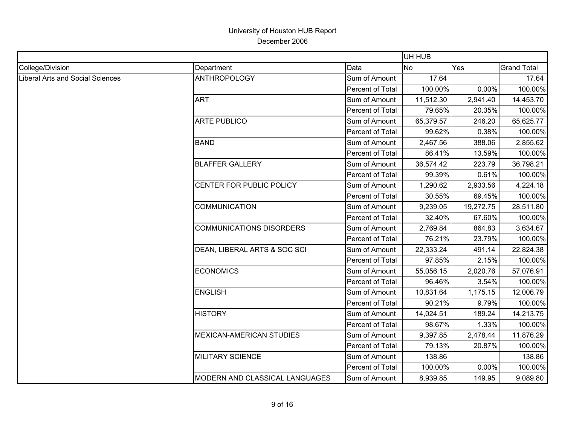|                                         | UH HUB                          |                  |           |           |                    |  |
|-----------------------------------------|---------------------------------|------------------|-----------|-----------|--------------------|--|
| College/Division                        | Department                      | Data             | No        | Yes       | <b>Grand Total</b> |  |
| <b>Liberal Arts and Social Sciences</b> | <b>ANTHROPOLOGY</b>             | Sum of Amount    | 17.64     |           | 17.64              |  |
|                                         |                                 | Percent of Total | 100.00%   | 0.00%     | 100.00%            |  |
|                                         | <b>ART</b>                      | Sum of Amount    | 11,512.30 | 2,941.40  | 14,453.70          |  |
|                                         |                                 | Percent of Total | 79.65%    | 20.35%    | 100.00%            |  |
|                                         | <b>ARTE PUBLICO</b>             | Sum of Amount    | 65,379.57 | 246.20    | 65,625.77          |  |
|                                         |                                 | Percent of Total | 99.62%    | 0.38%     | 100.00%            |  |
|                                         | <b>BAND</b>                     | Sum of Amount    | 2,467.56  | 388.06    | 2,855.62           |  |
|                                         |                                 | Percent of Total | 86.41%    | 13.59%    | 100.00%            |  |
|                                         | <b>BLAFFER GALLERY</b>          | Sum of Amount    | 36,574.42 | 223.79    | 36,798.21          |  |
|                                         |                                 | Percent of Total | 99.39%    | 0.61%     | 100.00%            |  |
|                                         | CENTER FOR PUBLIC POLICY        | Sum of Amount    | 1,290.62  | 2,933.56  | 4,224.18           |  |
|                                         |                                 | Percent of Total | 30.55%    | 69.45%    | 100.00%            |  |
|                                         | <b>COMMUNICATION</b>            | Sum of Amount    | 9,239.05  | 19,272.75 | 28,511.80          |  |
|                                         |                                 | Percent of Total | 32.40%    | 67.60%    | 100.00%            |  |
|                                         | <b>COMMUNICATIONS DISORDERS</b> | Sum of Amount    | 2,769.84  | 864.83    | 3,634.67           |  |
|                                         |                                 | Percent of Total | 76.21%    | 23.79%    | 100.00%            |  |
|                                         | DEAN, LIBERAL ARTS & SOC SCI    | Sum of Amount    | 22,333.24 | 491.14    | 22,824.38          |  |
|                                         |                                 | Percent of Total | 97.85%    | 2.15%     | 100.00%            |  |
|                                         | <b>ECONOMICS</b>                | Sum of Amount    | 55,056.15 | 2,020.76  | 57,076.91          |  |
|                                         |                                 | Percent of Total | 96.46%    | 3.54%     | 100.00%            |  |
|                                         | <b>ENGLISH</b>                  | Sum of Amount    | 10,831.64 | 1,175.15  | 12,006.79          |  |
|                                         |                                 | Percent of Total | 90.21%    | 9.79%     | 100.00%            |  |
|                                         | <b>HISTORY</b>                  | Sum of Amount    | 14,024.51 | 189.24    | 14,213.75          |  |
|                                         |                                 | Percent of Total | 98.67%    | 1.33%     | 100.00%            |  |
|                                         | <b>MEXICAN-AMERICAN STUDIES</b> | Sum of Amount    | 9,397.85  | 2,478.44  | 11,876.29          |  |
|                                         |                                 | Percent of Total | 79.13%    | 20.87%    | 100.00%            |  |
|                                         | <b>MILITARY SCIENCE</b>         | Sum of Amount    | 138.86    |           | 138.86             |  |
|                                         |                                 | Percent of Total | 100.00%   | 0.00%     | 100.00%            |  |
|                                         | MODERN AND CLASSICAL LANGUAGES  | Sum of Amount    | 8,939.85  | 149.95    | 9,089.80           |  |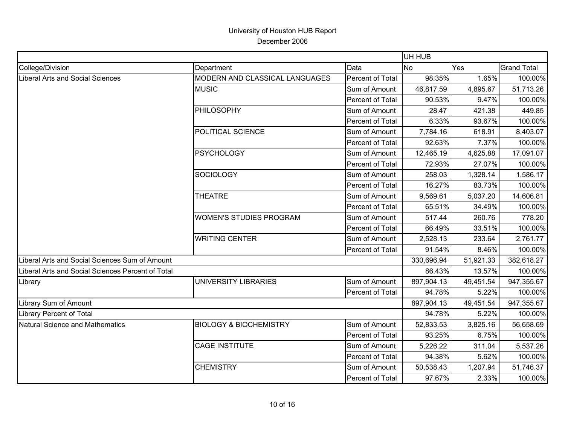|                                                   |                                   |                  | UH HUB     |           |                    |
|---------------------------------------------------|-----------------------------------|------------------|------------|-----------|--------------------|
| College/Division                                  | Department                        | Data             | <b>No</b>  | Yes       | <b>Grand Total</b> |
| Liberal Arts and Social Sciences                  | MODERN AND CLASSICAL LANGUAGES    | Percent of Total | 98.35%     | 1.65%     | 100.00%            |
|                                                   | <b>MUSIC</b>                      | Sum of Amount    | 46,817.59  | 4,895.67  | 51,713.26          |
|                                                   |                                   | Percent of Total | 90.53%     | 9.47%     | 100.00%            |
|                                                   | PHILOSOPHY                        | Sum of Amount    | 28.47      | 421.38    | 449.85             |
|                                                   |                                   | Percent of Total | 6.33%      | 93.67%    | 100.00%            |
|                                                   | POLITICAL SCIENCE                 | Sum of Amount    | 7,784.16   | 618.91    | 8,403.07           |
|                                                   |                                   | Percent of Total | 92.63%     | 7.37%     | 100.00%            |
|                                                   | <b>PSYCHOLOGY</b>                 | Sum of Amount    | 12,465.19  | 4,625.88  | 17,091.07          |
|                                                   |                                   | Percent of Total | 72.93%     | 27.07%    | 100.00%            |
|                                                   | SOCIOLOGY                         | Sum of Amount    | 258.03     | 1,328.14  | 1,586.17           |
|                                                   |                                   | Percent of Total | 16.27%     | 83.73%    | 100.00%            |
|                                                   | <b>THEATRE</b>                    | Sum of Amount    | 9,569.61   | 5,037.20  | 14,606.81          |
|                                                   |                                   | Percent of Total | 65.51%     | 34.49%    | 100.00%            |
|                                                   | <b>WOMEN'S STUDIES PROGRAM</b>    | Sum of Amount    | 517.44     | 260.76    | 778.20             |
|                                                   |                                   | Percent of Total | 66.49%     | 33.51%    | 100.00%            |
|                                                   | <b>WRITING CENTER</b>             | Sum of Amount    | 2,528.13   | 233.64    | 2,761.77           |
|                                                   |                                   | Percent of Total | 91.54%     | 8.46%     | 100.00%            |
| Liberal Arts and Social Sciences Sum of Amount    |                                   |                  | 330,696.94 | 51,921.33 | 382,618.27         |
| Liberal Arts and Social Sciences Percent of Total |                                   |                  | 86.43%     | 13.57%    | 100.00%            |
| Library                                           | UNIVERSITY LIBRARIES              | Sum of Amount    | 897,904.13 | 49,451.54 | 947,355.67         |
|                                                   |                                   | Percent of Total | 94.78%     | 5.22%     | 100.00%            |
| Library Sum of Amount                             |                                   |                  | 897,904.13 | 49,451.54 | 947,355.67         |
| <b>Library Percent of Total</b>                   |                                   |                  | 94.78%     | 5.22%     | 100.00%            |
| Natural Science and Mathematics                   | <b>BIOLOGY &amp; BIOCHEMISTRY</b> | Sum of Amount    | 52,833.53  | 3,825.16  | 56,658.69          |
|                                                   |                                   | Percent of Total | 93.25%     | 6.75%     | 100.00%            |
|                                                   | <b>CAGE INSTITUTE</b>             | Sum of Amount    | 5,226.22   | 311.04    | 5,537.26           |
|                                                   |                                   | Percent of Total | 94.38%     | 5.62%     | 100.00%            |
|                                                   | <b>CHEMISTRY</b>                  | Sum of Amount    | 50,538.43  | 1,207.94  | 51,746.37          |
|                                                   |                                   | Percent of Total | 97.67%     | 2.33%     | 100.00%            |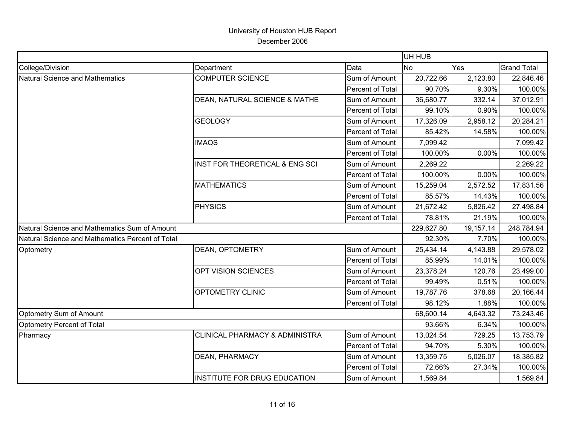|                                                  |                                           |                         | UH HUB         |           |                    |
|--------------------------------------------------|-------------------------------------------|-------------------------|----------------|-----------|--------------------|
| College/Division                                 | Department                                | Data                    | N <sub>o</sub> | Yes       | <b>Grand Total</b> |
| Natural Science and Mathematics                  | <b>COMPUTER SCIENCE</b>                   | Sum of Amount           | 20,722.66      | 2,123.80  | 22,846.46          |
|                                                  |                                           | Percent of Total        | 90.70%         | 9.30%     | 100.00%            |
|                                                  | DEAN, NATURAL SCIENCE & MATHE             | Sum of Amount           | 36,680.77      | 332.14    | 37,012.91          |
|                                                  |                                           | <b>Percent of Total</b> | 99.10%         | 0.90%     | 100.00%            |
|                                                  | <b>GEOLOGY</b>                            | Sum of Amount           | 17,326.09      | 2,958.12  | 20,284.21          |
|                                                  |                                           | <b>Percent of Total</b> | 85.42%         | 14.58%    | 100.00%            |
|                                                  | <b>IMAQS</b>                              | Sum of Amount           | 7,099.42       |           | 7,099.42           |
|                                                  |                                           | Percent of Total        | 100.00%        | 0.00%     | 100.00%            |
|                                                  | INST FOR THEORETICAL & ENG SCI            | Sum of Amount           | 2,269.22       |           | 2,269.22           |
|                                                  |                                           | Percent of Total        | 100.00%        | 0.00%     | 100.00%            |
|                                                  | <b>MATHEMATICS</b>                        | Sum of Amount           | 15,259.04      | 2,572.52  | 17,831.56          |
|                                                  |                                           | Percent of Total        | 85.57%         | 14.43%    | 100.00%            |
|                                                  | PHYSICS                                   | Sum of Amount           | 21,672.42      | 5,826.42  | 27,498.84          |
|                                                  |                                           | Percent of Total        | 78.81%         | 21.19%    | 100.00%            |
| Natural Science and Mathematics Sum of Amount    |                                           |                         | 229,627.80     | 19,157.14 | 248,784.94         |
| Natural Science and Mathematics Percent of Total |                                           |                         | 92.30%         | 7.70%     | 100.00%            |
| Optometry                                        | DEAN, OPTOMETRY                           | Sum of Amount           | 25,434.14      | 4,143.88  | 29,578.02          |
|                                                  |                                           | Percent of Total        | 85.99%         | 14.01%    | 100.00%            |
|                                                  | OPT VISION SCIENCES                       | Sum of Amount           | 23,378.24      | 120.76    | 23,499.00          |
|                                                  |                                           | Percent of Total        | 99.49%         | 0.51%     | 100.00%            |
|                                                  | OPTOMETRY CLINIC                          | Sum of Amount           | 19,787.76      | 378.68    | 20,166.44          |
|                                                  |                                           | Percent of Total        | 98.12%         | 1.88%     | 100.00%            |
| Optometry Sum of Amount                          |                                           |                         | 68,600.14      | 4,643.32  | 73,243.46          |
| Optometry Percent of Total                       |                                           |                         | 93.66%         | 6.34%     | 100.00%            |
| Pharmacy                                         | <b>CLINICAL PHARMACY &amp; ADMINISTRA</b> | Sum of Amount           | 13,024.54      | 729.25    | 13,753.79          |
|                                                  |                                           | Percent of Total        | 94.70%         | 5.30%     | 100.00%            |
|                                                  | <b>DEAN, PHARMACY</b>                     | Sum of Amount           | 13,359.75      | 5,026.07  | 18,385.82          |
|                                                  |                                           | Percent of Total        | 72.66%         | 27.34%    | 100.00%            |
|                                                  | <b>INSTITUTE FOR DRUG EDUCATION</b>       | Sum of Amount           | 1,569.84       |           | 1,569.84           |
|                                                  |                                           |                         |                |           |                    |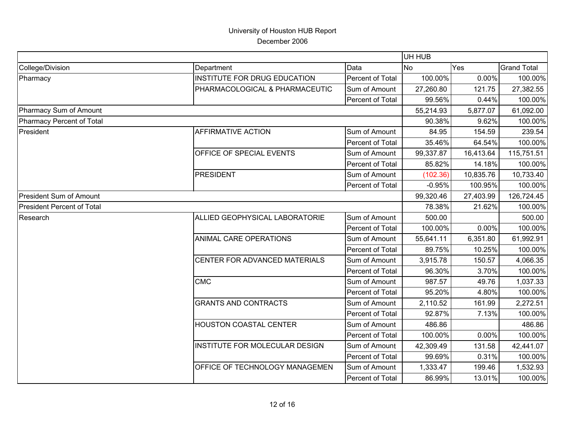|                                   |                                     |                  | UH HUB    |           |                    |
|-----------------------------------|-------------------------------------|------------------|-----------|-----------|--------------------|
| College/Division                  | Department                          | Data             | <b>No</b> | Yes       | <b>Grand Total</b> |
| Pharmacy                          | <b>INSTITUTE FOR DRUG EDUCATION</b> | Percent of Total | 100.00%   | 0.00%     | 100.00%            |
|                                   | PHARMACOLOGICAL & PHARMACEUTIC      | Sum of Amount    | 27,260.80 | 121.75    | 27,382.55          |
|                                   |                                     | Percent of Total | 99.56%    | 0.44%     | 100.00%            |
| Pharmacy Sum of Amount            |                                     |                  | 55,214.93 | 5,877.07  | 61,092.00          |
| Pharmacy Percent of Total         |                                     |                  | 90.38%    | 9.62%     | 100.00%            |
| President                         | <b>AFFIRMATIVE ACTION</b>           | Sum of Amount    | 84.95     | 154.59    | 239.54             |
|                                   |                                     | Percent of Total | 35.46%    | 64.54%    | 100.00%            |
|                                   | OFFICE OF SPECIAL EVENTS            | Sum of Amount    | 99,337.87 | 16,413.64 | 115,751.51         |
|                                   |                                     | Percent of Total | 85.82%    | 14.18%    | 100.00%            |
|                                   | <b>PRESIDENT</b>                    | Sum of Amount    | (102.36)  | 10,835.76 | 10,733.40          |
|                                   |                                     | Percent of Total | $-0.95%$  | 100.95%   | 100.00%            |
| <b>President Sum of Amount</b>    |                                     |                  | 99,320.46 | 27,403.99 | 126,724.45         |
| <b>President Percent of Total</b> |                                     |                  | 78.38%    | 21.62%    | 100.00%            |
| Research                          | ALLIED GEOPHYSICAL LABORATORIE      | Sum of Amount    | 500.00    |           | 500.00             |
|                                   |                                     | Percent of Total | 100.00%   | 0.00%     | 100.00%            |
|                                   | ANIMAL CARE OPERATIONS              | Sum of Amount    | 55,641.11 | 6,351.80  | 61,992.91          |
|                                   |                                     | Percent of Total | 89.75%    | 10.25%    | 100.00%            |
|                                   | CENTER FOR ADVANCED MATERIALS       | Sum of Amount    | 3,915.78  | 150.57    | 4,066.35           |
|                                   |                                     | Percent of Total | 96.30%    | 3.70%     | 100.00%            |
|                                   | <b>CMC</b>                          | Sum of Amount    | 987.57    | 49.76     | 1,037.33           |
|                                   |                                     | Percent of Total | 95.20%    | 4.80%     | 100.00%            |
|                                   | <b>GRANTS AND CONTRACTS</b>         | Sum of Amount    | 2,110.52  | 161.99    | 2,272.51           |
|                                   |                                     | Percent of Total | 92.87%    | 7.13%     | 100.00%            |
|                                   | HOUSTON COASTAL CENTER              | Sum of Amount    | 486.86    |           | 486.86             |
|                                   |                                     | Percent of Total | 100.00%   | 0.00%     | 100.00%            |
|                                   | INSTITUTE FOR MOLECULAR DESIGN      | Sum of Amount    | 42,309.49 | 131.58    | 42,441.07          |
|                                   |                                     | Percent of Total | 99.69%    | 0.31%     | 100.00%            |
|                                   | OFFICE OF TECHNOLOGY MANAGEMEN      | Sum of Amount    | 1,333.47  | 199.46    | 1,532.93           |
|                                   |                                     | Percent of Total | 86.99%    | 13.01%    | 100.00%            |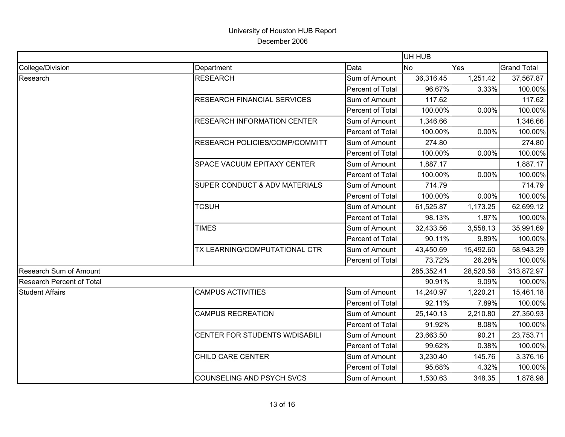|                               |                                    |                  | UH HUB         |           |                    |
|-------------------------------|------------------------------------|------------------|----------------|-----------|--------------------|
| College/Division              | Department                         | Data             | N <sub>o</sub> | Yes       | <b>Grand Total</b> |
| Research                      | <b>RESEARCH</b>                    | Sum of Amount    | 36,316.45      | 1,251.42  | 37,567.87          |
|                               |                                    | Percent of Total | 96.67%         | 3.33%     | 100.00%            |
|                               | <b>RESEARCH FINANCIAL SERVICES</b> | Sum of Amount    | 117.62         |           | 117.62             |
|                               |                                    | Percent of Total | 100.00%        | 0.00%     | 100.00%            |
|                               | <b>RESEARCH INFORMATION CENTER</b> | Sum of Amount    | 1,346.66       |           | 1,346.66           |
|                               |                                    | Percent of Total | 100.00%        | 0.00%     | 100.00%            |
|                               | RESEARCH POLICIES/COMP/COMMITT     | Sum of Amount    | 274.80         |           | 274.80             |
|                               |                                    | Percent of Total | 100.00%        | 0.00%     | 100.00%            |
|                               | <b>SPACE VACUUM EPITAXY CENTER</b> | Sum of Amount    | 1,887.17       |           | 1,887.17           |
|                               |                                    | Percent of Total | 100.00%        | 0.00%     | 100.00%            |
|                               | SUPER CONDUCT & ADV MATERIALS      | Sum of Amount    | 714.79         |           | 714.79             |
|                               |                                    | Percent of Total | 100.00%        | 0.00%     | 100.00%            |
|                               | <b>TCSUH</b>                       | Sum of Amount    | 61,525.87      | 1,173.25  | 62,699.12          |
|                               |                                    | Percent of Total | 98.13%         | 1.87%     | 100.00%            |
|                               | <b>TIMES</b>                       | Sum of Amount    | 32,433.56      | 3,558.13  | 35,991.69          |
|                               |                                    | Percent of Total | 90.11%         | 9.89%     | 100.00%            |
|                               | TX LEARNING/COMPUTATIONAL CTR      | Sum of Amount    | 43,450.69      | 15,492.60 | 58,943.29          |
|                               |                                    | Percent of Total | 73.72%         | 26.28%    | 100.00%            |
| <b>Research Sum of Amount</b> |                                    |                  | 285,352.41     | 28,520.56 | 313,872.97         |
| Research Percent of Total     |                                    |                  | 90.91%         | 9.09%     | 100.00%            |
| <b>Student Affairs</b>        | <b>CAMPUS ACTIVITIES</b>           | Sum of Amount    | 14,240.97      | 1,220.21  | 15,461.18          |
|                               |                                    | Percent of Total | 92.11%         | 7.89%     | 100.00%            |
|                               | <b>CAMPUS RECREATION</b>           | Sum of Amount    | 25,140.13      | 2,210.80  | 27,350.93          |
|                               |                                    | Percent of Total | 91.92%         | 8.08%     | 100.00%            |
|                               | CENTER FOR STUDENTS W/DISABILI     | Sum of Amount    | 23,663.50      | 90.21     | 23,753.71          |
|                               |                                    | Percent of Total | 99.62%         | 0.38%     | 100.00%            |
|                               | CHILD CARE CENTER                  | Sum of Amount    | 3,230.40       | 145.76    | 3,376.16           |
|                               |                                    | Percent of Total | 95.68%         | 4.32%     | 100.00%            |
|                               | <b>COUNSELING AND PSYCH SVCS</b>   | Sum of Amount    | 1,530.63       | 348.35    | 1,878.98           |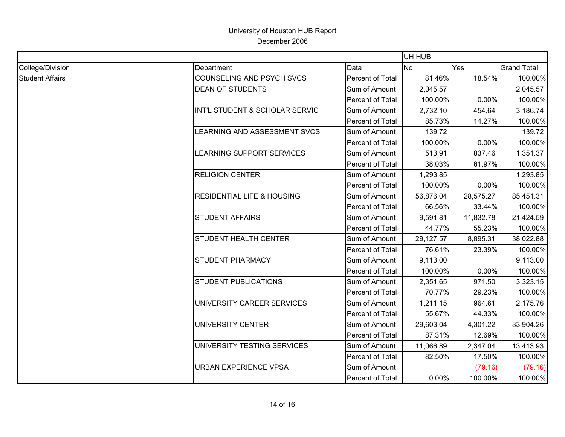|                        |                                       |                  | UH HUB           |           |                    |
|------------------------|---------------------------------------|------------------|------------------|-----------|--------------------|
| College/Division       | Department                            | Data             | <b>No</b><br>Yes |           | <b>Grand Total</b> |
| <b>Student Affairs</b> | <b>COUNSELING AND PSYCH SVCS</b>      | Percent of Total | 81.46%           | 18.54%    | 100.00%            |
|                        | <b>DEAN OF STUDENTS</b>               | Sum of Amount    | 2,045.57         |           | 2,045.57           |
|                        |                                       | Percent of Total | 100.00%          | 0.00%     | 100.00%            |
|                        | INT'L STUDENT & SCHOLAR SERVIC        | Sum of Amount    | 2,732.10         | 454.64    | 3,186.74           |
|                        |                                       | Percent of Total | 85.73%           | 14.27%    | 100.00%            |
|                        | LEARNING AND ASSESSMENT SVCS          | Sum of Amount    | 139.72           |           | 139.72             |
|                        |                                       | Percent of Total | 100.00%          | 0.00%     | 100.00%            |
|                        | LEARNING SUPPORT SERVICES             | Sum of Amount    | 513.91           | 837.46    | 1,351.37           |
|                        |                                       | Percent of Total | 38.03%           | 61.97%    | 100.00%            |
|                        | <b>RELIGION CENTER</b>                | Sum of Amount    | 1,293.85         |           | 1,293.85           |
|                        |                                       | Percent of Total | 100.00%          | 0.00%     | 100.00%            |
|                        | <b>RESIDENTIAL LIFE &amp; HOUSING</b> | Sum of Amount    | 56,876.04        | 28,575.27 | 85,451.31          |
|                        |                                       | Percent of Total | 66.56%           | 33.44%    | 100.00%            |
|                        | <b>STUDENT AFFAIRS</b>                | Sum of Amount    | 9,591.81         | 11,832.78 | 21,424.59          |
|                        |                                       | Percent of Total | 44.77%           | 55.23%    | 100.00%            |
|                        | <b>STUDENT HEALTH CENTER</b>          | Sum of Amount    | 29,127.57        | 8,895.31  | 38,022.88          |
|                        |                                       | Percent of Total | 76.61%           | 23.39%    | 100.00%            |
|                        | <b>STUDENT PHARMACY</b>               | Sum of Amount    | 9,113.00         |           | 9,113.00           |
|                        |                                       | Percent of Total | 100.00%          | 0.00%     | 100.00%            |
|                        | <b>STUDENT PUBLICATIONS</b>           | Sum of Amount    | 2,351.65         | 971.50    | 3,323.15           |
|                        |                                       | Percent of Total | 70.77%           | 29.23%    | 100.00%            |
|                        | UNIVERSITY CAREER SERVICES            | Sum of Amount    | 1,211.15         | 964.61    | 2,175.76           |
|                        |                                       | Percent of Total | 55.67%           | 44.33%    | 100.00%            |
|                        | UNIVERSITY CENTER                     | Sum of Amount    | 29,603.04        | 4,301.22  | 33,904.26          |
|                        |                                       | Percent of Total | 87.31%           | 12.69%    | 100.00%            |
|                        | UNIVERSITY TESTING SERVICES           | Sum of Amount    | 11,066.89        | 2,347.04  | 13,413.93          |
|                        |                                       | Percent of Total | 82.50%           | 17.50%    | 100.00%            |
|                        | <b>URBAN EXPERIENCE VPSA</b>          | Sum of Amount    |                  | (79.16)   | (79.16)            |
|                        |                                       | Percent of Total | 0.00%            | 100.00%   | 100.00%            |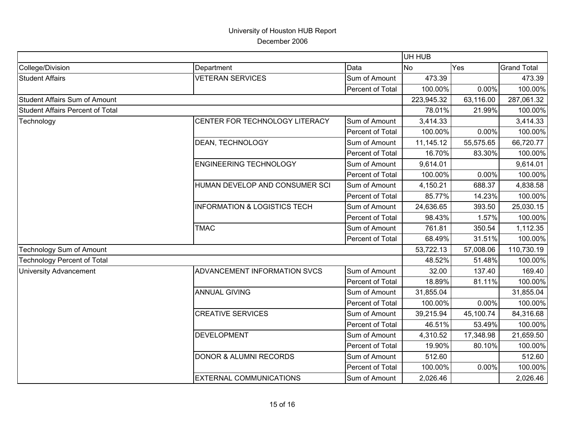|                                         |                                         |                  | UH HUB     |           |                    |
|-----------------------------------------|-----------------------------------------|------------------|------------|-----------|--------------------|
| College/Division                        | Department                              | Data             | <b>No</b>  | Yes       | <b>Grand Total</b> |
| <b>Student Affairs</b>                  | <b>VETERAN SERVICES</b>                 | Sum of Amount    | 473.39     |           | 473.39             |
|                                         |                                         | Percent of Total | 100.00%    | 0.00%     | 100.00%            |
| <b>Student Affairs Sum of Amount</b>    |                                         |                  | 223,945.32 | 63,116.00 | 287,061.32         |
| <b>Student Affairs Percent of Total</b> |                                         |                  | 78.01%     | 21.99%    | 100.00%            |
| Technology                              | CENTER FOR TECHNOLOGY LITERACY          | Sum of Amount    | 3,414.33   |           | 3,414.33           |
|                                         |                                         | Percent of Total | 100.00%    | 0.00%     | 100.00%            |
|                                         | DEAN, TECHNOLOGY                        | Sum of Amount    | 11,145.12  | 55,575.65 | 66,720.77          |
|                                         |                                         | Percent of Total | 16.70%     | 83.30%    | 100.00%            |
|                                         | <b>ENGINEERING TECHNOLOGY</b>           | Sum of Amount    | 9,614.01   |           | 9,614.01           |
|                                         |                                         | Percent of Total | 100.00%    | 0.00%     | 100.00%            |
|                                         | HUMAN DEVELOP AND CONSUMER SCI          | Sum of Amount    | 4,150.21   | 688.37    | 4,838.58           |
|                                         |                                         | Percent of Total | 85.77%     | 14.23%    | 100.00%            |
|                                         | <b>INFORMATION &amp; LOGISTICS TECH</b> | Sum of Amount    | 24,636.65  | 393.50    | 25,030.15          |
|                                         |                                         | Percent of Total | 98.43%     | 1.57%     | 100.00%            |
|                                         | <b>TMAC</b>                             | Sum of Amount    | 761.81     | 350.54    | 1,112.35           |
|                                         |                                         | Percent of Total | 68.49%     | 31.51%    | 100.00%            |
| Technology Sum of Amount                |                                         |                  | 53,722.13  | 57,008.06 | 110,730.19         |
| <b>Technology Percent of Total</b>      |                                         |                  | 48.52%     | 51.48%    | 100.00%            |
| <b>University Advancement</b>           | ADVANCEMENT INFORMATION SVCS            | Sum of Amount    | 32.00      | 137.40    | 169.40             |
|                                         |                                         | Percent of Total | 18.89%     | 81.11%    | 100.00%            |
|                                         | <b>ANNUAL GIVING</b>                    | Sum of Amount    | 31,855.04  |           | 31,855.04          |
|                                         |                                         | Percent of Total | 100.00%    | 0.00%     | 100.00%            |
|                                         | <b>CREATIVE SERVICES</b>                | Sum of Amount    | 39,215.94  | 45,100.74 | 84,316.68          |
|                                         |                                         | Percent of Total | 46.51%     | 53.49%    | 100.00%            |
|                                         | <b>DEVELOPMENT</b>                      | Sum of Amount    | 4,310.52   | 17,348.98 | 21,659.50          |
|                                         |                                         | Percent of Total | 19.90%     | 80.10%    | 100.00%            |
|                                         | <b>DONOR &amp; ALUMNI RECORDS</b>       | Sum of Amount    | 512.60     |           | 512.60             |
|                                         |                                         | Percent of Total | 100.00%    | 0.00%     | 100.00%            |
|                                         | <b>EXTERNAL COMMUNICATIONS</b>          | Sum of Amount    | 2,026.46   |           | 2,026.46           |